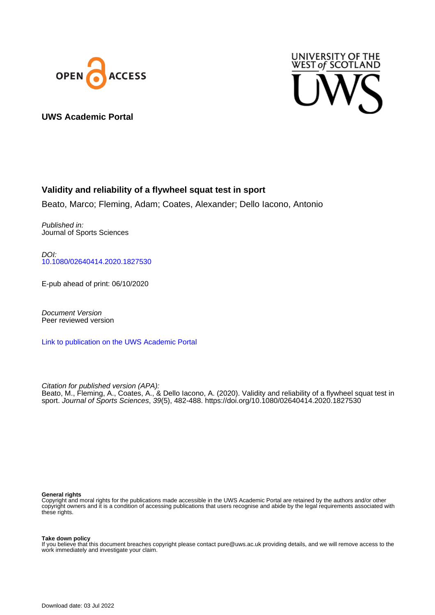



# **UWS Academic Portal**

# **Validity and reliability of a flywheel squat test in sport**

Beato, Marco; Fleming, Adam; Coates, Alexander; Dello Iacono, Antonio

Published in: Journal of Sports Sciences

DOI: [10.1080/02640414.2020.1827530](https://doi.org/10.1080/02640414.2020.1827530)

E-pub ahead of print: 06/10/2020

Document Version Peer reviewed version

[Link to publication on the UWS Academic Portal](https://uws.pure.elsevier.com/en/publications/31416fa9-7e1f-4f82-ae9d-e52786bdcea8)

Citation for published version (APA): Beato, M., Fleming, A., Coates, A., & Dello Iacono, A. (2020). Validity and reliability of a flywheel squat test in sport. Journal of Sports Sciences, 39(5), 482-488.<https://doi.org/10.1080/02640414.2020.1827530>

#### **General rights**

Copyright and moral rights for the publications made accessible in the UWS Academic Portal are retained by the authors and/or other copyright owners and it is a condition of accessing publications that users recognise and abide by the legal requirements associated with these rights.

#### **Take down policy**

If you believe that this document breaches copyright please contact pure@uws.ac.uk providing details, and we will remove access to the work immediately and investigate your claim.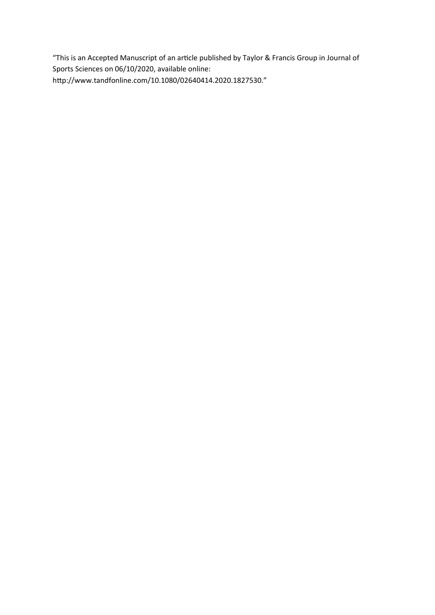"This is an Accepted Manuscript of an article published by Taylor & Francis Group in Journal of Sports Sciences on 06/10/2020, available online: http://www.tandfonline.com/10.1080/02640414.2020.1827530."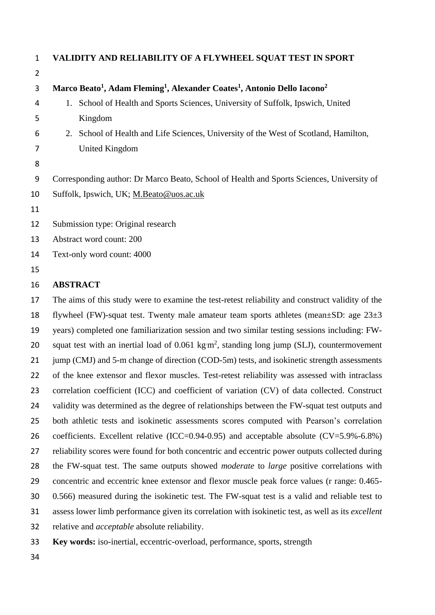| 1              | VALIDITY AND RELIABILITY OF A FLYWHEEL SQUAT TEST IN SPORT                                                               |
|----------------|--------------------------------------------------------------------------------------------------------------------------|
| $\overline{2}$ |                                                                                                                          |
| 3              | Marco Beato <sup>1</sup> , Adam Fleming <sup>1</sup> , Alexander Coates <sup>1</sup> , Antonio Dello Iacono <sup>2</sup> |
| 4              | School of Health and Sports Sciences, University of Suffolk, Ipswich, United<br>1.                                       |
| 5              | Kingdom                                                                                                                  |
| 6              | School of Health and Life Sciences, University of the West of Scotland, Hamilton,<br>2.                                  |
| 7              | United Kingdom                                                                                                           |
| 8              |                                                                                                                          |
| 9              | Corresponding author: Dr Marco Beato, School of Health and Sports Sciences, University of                                |
| 10             | Suffolk, Ipswich, UK; M.Beato@uos.ac.uk                                                                                  |
| 11             |                                                                                                                          |
| 12             | Submission type: Original research                                                                                       |
| 13             | Abstract word count: 200                                                                                                 |
| 14             | Text-only word count: 4000                                                                                               |
| 15             |                                                                                                                          |
|                |                                                                                                                          |

#### **ABSTRACT**

 The aims of this study were to examine the test-retest reliability and construct validity of the 18 flywheel (FW)-squat test. Twenty male amateur team sports athletes (mean $\pm$ SD: age 23 $\pm$ 3 years) completed one familiarization session and two similar testing sessions including: FW-20 squat test with an inertial load of  $0.061 \text{ kg m}^2$ , standing long jump (SLJ), countermovement 21 jump (CMJ) and 5-m change of direction (COD-5m) tests, and isokinetic strength assessments of the knee extensor and flexor muscles. Test-retest reliability was assessed with intraclass 23 correlation coefficient (ICC) and coefficient of variation (CV) of data collected. Construct 24 validity was determined as the degree of relationships between the FW-squat test outputs and both athletic tests and isokinetic assessments scores computed with Pearson's correlation 26 coefficients. Excellent relative (ICC=0.94-0.95) and acceptable absolute (CV=5.9%-6.8%) reliability scores were found for both concentric and eccentric power outputs collected during the FW-squat test. The same outputs showed *moderate* to *large* positive correlations with concentric and eccentric knee extensor and flexor muscle peak force values (r range: 0.465- 0.566) measured during the isokinetic test. The FW-squat test is a valid and reliable test to assess lower limb performance given its correlation with isokinetic test, as well as its *excellent* relative and *acceptable* absolute reliability.

- **Key words:** iso-inertial, eccentric-overload, performance, sports, strength
-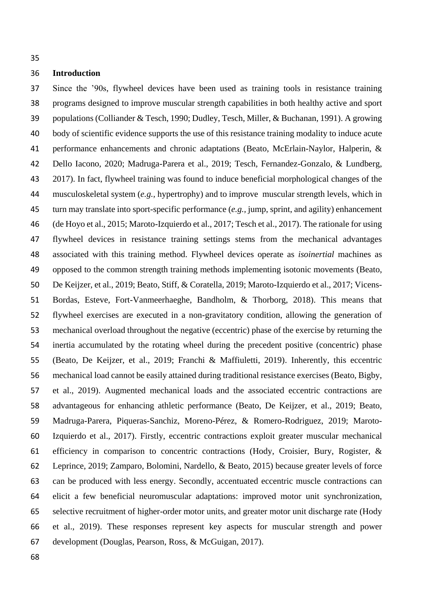### **Introduction**

 Since the '90s, flywheel devices have been used as training tools in resistance training programs designed to improve muscular strength capabilities in both healthy active and sport populations (Colliander & Tesch, 1990; Dudley, Tesch, Miller, & Buchanan, 1991). A growing body of scientific evidence supports the use of this resistance training modality to induce acute performance enhancements and chronic adaptations (Beato, McErlain-Naylor, Halperin, & Dello Iacono, 2020; Madruga-Parera et al., 2019; Tesch, Fernandez-Gonzalo, & Lundberg, 2017). In fact, flywheel training was found to induce beneficial morphological changes of the musculoskeletal system (*e.g.,* hypertrophy) and to improve muscular strength levels, which in turn may translate into sport-specific performance (*e.g.,* jump, sprint, and agility) enhancement (de Hoyo et al., 2015; Maroto-Izquierdo et al., 2017; Tesch et al., 2017). The rationale for using flywheel devices in resistance training settings stems from the mechanical advantages associated with this training method. Flywheel devices operate as *isoinertial* machines as opposed to the common strength training methods implementing isotonic movements (Beato, De Keijzer, et al., 2019; Beato, Stiff, & Coratella, 2019; Maroto-Izquierdo et al., 2017; Vicens- Bordas, Esteve, Fort-Vanmeerhaeghe, Bandholm, & Thorborg, 2018). This means that flywheel exercises are executed in a non-gravitatory condition, allowing the generation of mechanical overload throughout the negative (eccentric) phase of the exercise by returning the inertia accumulated by the rotating wheel during the precedent positive (concentric) phase (Beato, De Keijzer, et al., 2019; Franchi & Maffiuletti, 2019). Inherently, this eccentric mechanical load cannot be easily attained during traditional resistance exercises (Beato, Bigby, et al., 2019). Augmented mechanical loads and the associated eccentric contractions are advantageous for enhancing athletic performance (Beato, De Keijzer, et al., 2019; Beato, Madruga-Parera, Piqueras-Sanchiz, Moreno-Pérez, & Romero-Rodriguez, 2019; Maroto- Izquierdo et al., 2017). Firstly, eccentric contractions exploit greater muscular mechanical efficiency in comparison to concentric contractions (Hody, Croisier, Bury, Rogister, & Leprince, 2019; Zamparo, Bolomini, Nardello, & Beato, 2015) because greater levels of force can be produced with less energy. Secondly, accentuated eccentric muscle contractions can elicit a few beneficial neuromuscular adaptations: improved motor unit synchronization, selective recruitment of higher-order motor units, and greater motor unit discharge rate (Hody et al., 2019). These responses represent key aspects for muscular strength and power development (Douglas, Pearson, Ross, & McGuigan, 2017).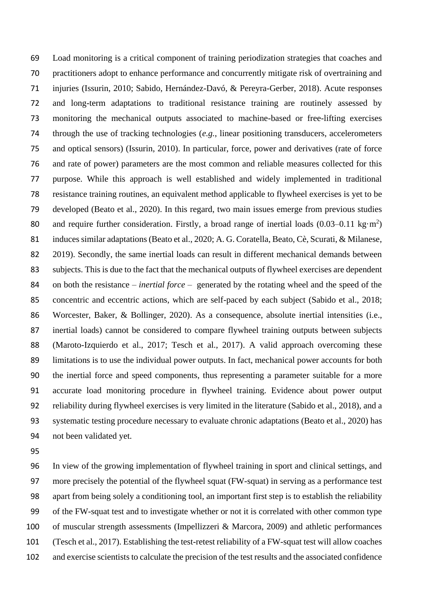Load monitoring is a critical component of training periodization strategies that coaches and practitioners adopt to enhance performance and concurrently mitigate risk of overtraining and injuries (Issurin, 2010; Sabido, Hernández-Davó, & Pereyra-Gerber, 2018). Acute responses and long-term adaptations to traditional resistance training are routinely assessed by monitoring the mechanical outputs associated to machine-based or free-lifting exercises through the use of tracking technologies (*e.g.*, linear positioning transducers, accelerometers and optical sensors) (Issurin, 2010). In particular, force, power and derivatives (rate of force and rate of power) parameters are the most common and reliable measures collected for this purpose. While this approach is well established and widely implemented in traditional resistance training routines, an equivalent method applicable to flywheel exercises is yet to be developed (Beato et al., 2020). In this regard, two main issues emerge from previous studies 80 and require further consideration. Firstly, a broad range of inertial loads  $(0.03-0.11 \text{ kg}\cdot\text{m}^2)$ 81 induces similar adaptations (Beato et al., 2020; A. G. Coratella, Beato, Cè, Scurati, & Milanese, 82 2019). Secondly, the same inertial loads can result in different mechanical demands between subjects. This is due to the fact that the mechanical outputs of flywheel exercises are dependent on both the resistance – *inertial force* – generated by the rotating wheel and the speed of the concentric and eccentric actions, which are self-paced by each subject (Sabido et al., 2018; 86 Worcester, Baker, & Bollinger, 2020). As a consequence, absolute inertial intensities (i.e., inertial loads) cannot be considered to compare flywheel training outputs between subjects (Maroto-Izquierdo et al., 2017; Tesch et al., 2017). A valid approach overcoming these limitations is to use the individual power outputs. In fact, mechanical power accounts for both the inertial force and speed components, thus representing a parameter suitable for a more accurate load monitoring procedure in flywheel training. Evidence about power output reliability during flywheel exercises is very limited in the literature (Sabido et al., 2018), and a systematic testing procedure necessary to evaluate chronic adaptations (Beato et al., 2020) has not been validated yet.

 In view of the growing implementation of flywheel training in sport and clinical settings, and more precisely the potential of the flywheel squat (FW-squat) in serving as a performance test apart from being solely a conditioning tool, an important first step is to establish the reliability of the FW-squat test and to investigate whether or not it is correlated with other common type of muscular strength assessments (Impellizzeri & Marcora, 2009) and athletic performances (Tesch et al., 2017). Establishing the test-retest reliability of a FW-squat test will allow coaches and exercise scientists to calculate the precision of the test results and the associated confidence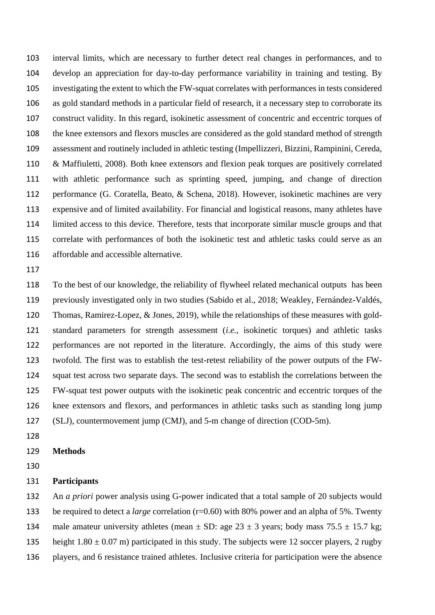interval limits, which are necessary to further detect real changes in performances, and to develop an appreciation for day-to-day performance variability in training and testing. By investigating the extent to which the FW-squat correlates with performances in tests considered as gold standard methods in a particular field of research, it a necessary step to corroborate its construct validity. In this regard, isokinetic assessment of concentric and eccentric torques of the knee extensors and flexors muscles are considered as the gold standard method of strength assessment and routinely included in athletic testing (Impellizzeri, Bizzini, Rampinini, Cereda, & Maffiuletti, 2008). Both knee extensors and flexion peak torques are positively correlated with athletic performance such as sprinting speed, jumping, and change of direction performance (G. Coratella, Beato, & Schena, 2018). However, isokinetic machines are very expensive and of limited availability. For financial and logistical reasons, many athletes have limited access to this device. Therefore, tests that incorporate similar muscle groups and that correlate with performances of both the isokinetic test and athletic tasks could serve as an affordable and accessible alternative.

 To the best of our knowledge, the reliability of flywheel related mechanical outputs has been previously investigated only in two studies (Sabido et al., 2018; Weakley, Fernández-Valdés, Thomas, Ramirez-Lopez, & Jones, 2019), while the relationships of these measures with gold- standard parameters for strength assessment (*i.e.*, isokinetic torques) and athletic tasks performances are not reported in the literature. Accordingly, the aims of this study were twofold. The first was to establish the test-retest reliability of the power outputs of the FW- squat test across two separate days. The second was to establish the correlations between the FW-squat test power outputs with the isokinetic peak concentric and eccentric torques of the knee extensors and flexors, and performances in athletic tasks such as standing long jump (SLJ), countermovement jump (CMJ), and 5-m change of direction (COD-5m).

- 
- **Methods**

#### **Participants**

 An *a priori* power analysis using G-power indicated that a total sample of 20 subjects would be required to detect a *large* correlation (r=0.60) with 80% power and an alpha of 5%. Twenty 134 male amateur university athletes (mean  $\pm$  SD: age 23  $\pm$  3 years; body mass 75.5  $\pm$  15.7 kg; 135 height  $1.80 \pm 0.07$  m) participated in this study. The subjects were 12 soccer players, 2 rugby

players, and 6 resistance trained athletes. Inclusive criteria for participation were the absence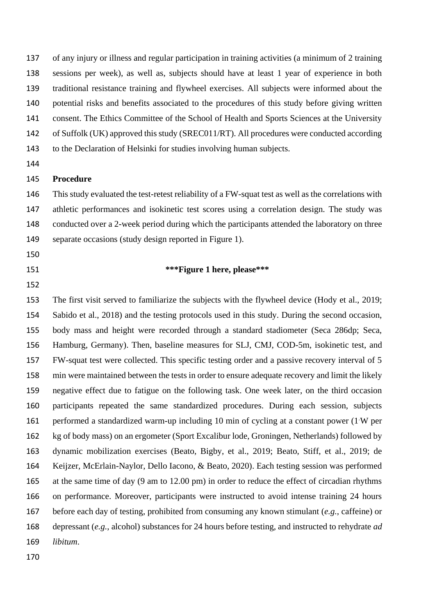of any injury or illness and regular participation in training activities (a minimum of 2 training sessions per week), as well as, subjects should have at least 1 year of experience in both traditional resistance training and flywheel exercises. All subjects were informed about the potential risks and benefits associated to the procedures of this study before giving written consent. The Ethics Committee of the School of Health and Sports Sciences at the University of Suffolk (UK) approved this study (SREC011/RT). All procedures were conducted according to the Declaration of Helsinki for studies involving human subjects.

### **Procedure**

 This study evaluated the test-retest reliability of a FW-squat test as well as the correlations with athletic performances and isokinetic test scores using a correlation design. The study was conducted over a 2-week period during which the participants attended the laboratory on three separate occasions (study design reported in Figure 1).

- 
- 

### **\*\*\*Figure 1 here, please\*\*\***

 The first visit served to familiarize the subjects with the flywheel device (Hody et al., 2019; Sabido et al., 2018) and the testing protocols used in this study. During the second occasion, body mass and height were recorded through a standard stadiometer (Seca 286dp; Seca, Hamburg, Germany). Then, baseline measures for SLJ, CMJ, COD-5m, isokinetic test, and FW-squat test were collected. This specific testing order and a passive recovery interval of 5 min were maintained between the tests in order to ensure adequate recovery and limit the likely negative effect due to fatigue on the following task. One week later, on the third occasion participants repeated the same standardized procedures. During each session, subjects 161 performed a standardized warm-up including 10 min of cycling at a constant power  $(1 \text{W per})$  kg of body mass) on an ergometer (Sport Excalibur lode, Groningen, Netherlands) followed by dynamic mobilization exercises (Beato, Bigby, et al., 2019; Beato, Stiff, et al., 2019; de Keijzer, McErlain-Naylor, Dello Iacono, & Beato, 2020). Each testing session was performed at the same time of day (9 am to 12.00 pm) in order to reduce the effect of circadian rhythms on performance. Moreover, participants were instructed to avoid intense training 24 hours before each day of testing, prohibited from consuming any known stimulant (*e.g.*, caffeine) or depressant (*e.g.*, alcohol) substances for 24 hours before testing, and instructed to rehydrate *ad libitum*.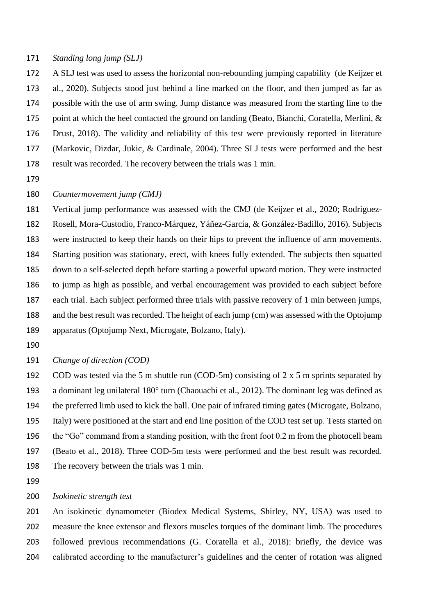#### *Standing long jump (SLJ)*

 A SLJ test was used to assess the horizontal non-rebounding jumping capability (de Keijzer et al., 2020). Subjects stood just behind a line marked on the floor, and then jumped as far as possible with the use of arm swing. Jump distance was measured from the starting line to the point at which the heel contacted the ground on landing (Beato, Bianchi, Coratella, Merlini, & Drust, 2018). The validity and reliability of this test were previously reported in literature (Markovic, Dizdar, Jukic, & Cardinale, 2004). Three SLJ tests were performed and the best result was recorded. The recovery between the trials was 1 min.

#### *Countermovement jump (CMJ)*

 Vertical jump performance was assessed with the CMJ (de Keijzer et al., 2020; Rodriguez- Rosell, Mora-Custodio, Franco-Márquez, Yáñez-García, & González-Badillo, 2016). Subjects were instructed to keep their hands on their hips to prevent the influence of arm movements. Starting position was stationary, erect, with knees fully extended. The subjects then squatted down to a self-selected depth before starting a powerful upward motion. They were instructed to jump as high as possible, and verbal encouragement was provided to each subject before each trial. Each subject performed three trials with passive recovery of 1 min between jumps, and the best result was recorded. The height of each jump (cm) was assessed with the Optojump apparatus (Optojump Next, Microgate, Bolzano, Italy).

*Change of direction (COD)*

192 COD was tested via the 5 m shuttle run (COD-5m) consisting of 2 x 5 m sprints separated by a dominant leg unilateral 180° turn (Chaouachi et al., 2012). The dominant leg was defined as the preferred limb used to kick the ball. One pair of infrared timing gates (Microgate, Bolzano, Italy) were positioned at the start and end line position of the COD test set up. Tests started on the "Go" command from a standing position, with the front foot 0.2 m from the photocell beam (Beato et al., 2018). Three COD-5m tests were performed and the best result was recorded. The recovery between the trials was 1 min.

#### *Isokinetic strength test*

 An isokinetic dynamometer (Biodex Medical Systems, Shirley, NY, USA) was used to measure the knee extensor and flexors muscles torques of the dominant limb. The procedures followed previous recommendations (G. Coratella et al., 2018): briefly, the device was calibrated according to the manufacturer's guidelines and the center of rotation was aligned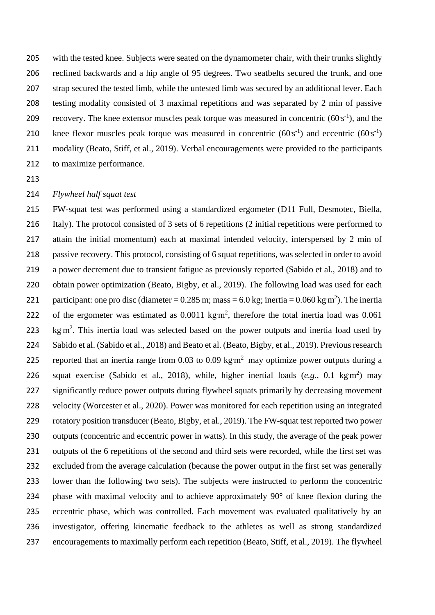with the tested knee. Subjects were seated on the dynamometer chair, with their trunks slightly reclined backwards and a hip angle of 95 degrees. Two seatbelts secured the trunk, and one 207 strap secured the tested limb, while the untested limb was secured by an additional lever. Each testing modality consisted of 3 maximal repetitions and was separated by 2 min of passive 209 recovery. The knee extensor muscles peak torque was measured in concentric  $(60 \text{ s}^{-1})$ , and the 210 knee flexor muscles peak torque was measured in concentric  $(60 \text{ s}^{-1})$  and eccentric  $(60 \text{ s}^{-1})$  modality (Beato, Stiff, et al., 2019). Verbal encouragements were provided to the participants to maximize performance.

#### *Flywheel half squat test*

 FW-squat test was performed using a standardized ergometer (D11 Full, Desmotec, Biella, Italy). The protocol consisted of 3 sets of 6 repetitions (2 initial repetitions were performed to attain the initial momentum) each at maximal intended velocity, interspersed by 2 min of passive recovery. This protocol, consisting of 6 squat repetitions, was selected in order to avoid a power decrement due to transient fatigue as previously reported (Sabido et al., 2018) and to obtain power optimization (Beato, Bigby, et al., 2019). The following load was used for each 221 participant: one pro disc (diameter  $= 0.285$  m; mass  $= 6.0$  kg; inertia  $= 0.060$  kg m<sup>2</sup>). The inertia 222 of the ergometer was estimated as  $0.0011 \text{ kg m}^2$ , therefore the total inertia load was  $0.061$  $\,\mathrm{kg\,m^2}$ . This inertia load was selected based on the power outputs and inertia load used by Sabido et al. (Sabido et al., 2018) and Beato et al. (Beato, Bigby, et al., 2019). Previous research 225 reported that an inertia range from 0.03 to 0.09 kg  $m^2$  may optimize power outputs during a 226 squat exercise (Sabido et al., 2018), while, higher inertial loads  $(e.g., 0.1 \text{ kg} \text{m}^2)$  may 227 significantly reduce power outputs during flywheel squats primarily by decreasing movement velocity (Worcester et al., 2020). Power was monitored for each repetition using an integrated rotatory position transducer (Beato, Bigby, et al., 2019). The FW-squat test reported two power outputs (concentric and eccentric power in watts). In this study, the average of the peak power outputs of the 6 repetitions of the second and third sets were recorded, while the first set was excluded from the average calculation (because the power output in the first set was generally lower than the following two sets). The subjects were instructed to perform the concentric phase with maximal velocity and to achieve approximately 90° of knee flexion during the eccentric phase, which was controlled. Each movement was evaluated qualitatively by an investigator, offering kinematic feedback to the athletes as well as strong standardized encouragements to maximally perform each repetition (Beato, Stiff, et al., 2019). The flywheel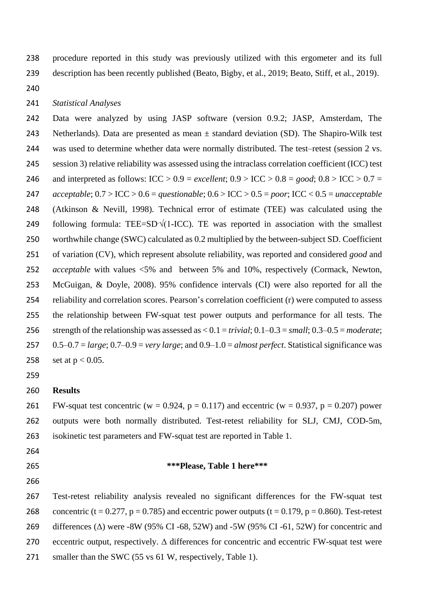procedure reported in this study was previously utilized with this ergometer and its full description has been recently published (Beato, Bigby, et al., 2019; Beato, Stiff, et al., 2019).

### *Statistical Analyses*

 Data were analyzed by using JASP software (version 0.9.2; JASP, Amsterdam, The 243 Netherlands). Data are presented as mean  $\pm$  standard deviation (SD). The Shapiro-Wilk test was used to determine whether data were normally distributed. The test–retest (session 2 vs. session 3) relative reliability was assessed using the intraclass correlation coefficient (ICC) test 246 and interpreted as follows:  $\text{ICC} > 0.9 = \text{excellent}$ ;  $0.9 > \text{ICC} > 0.8 = \text{good}$ ;  $0.8 > \text{ICC} > 0.7 =$  *acceptable*; 0.7 > ICC > 0.6 = *questionable*; 0.6 > ICC > 0.5 = *poor*; ICC < 0.5 = *unacceptable*  (Atkinson & Nevill, 1998)*.* Technical error of estimate (TEE) was calculated using the 249 following formula: TEE=SD $\sqrt{(1-ICC)}$ . TE was reported in association with the smallest worthwhile change (SWC) calculated as 0.2 multiplied by the between-subject SD. Coefficient of variation (CV), which represent absolute reliability, was reported and considered *good* and *acceptable* with values <5% and between 5% and 10%, respectively (Cormack, Newton, McGuigan, & Doyle, 2008). 95% confidence intervals (CI) were also reported for all the reliability and correlation scores. Pearson's correlation coefficient (r) were computed to assess the relationship between FW-squat test power outputs and performance for all tests. The strength of the relationship was assessed as < 0.1 = *trivial*; 0.1–0.3 = *small*; 0.3–0.5 = *moderate*; 0.5–0.7 = *large*; 0.7–0.9 = *very large*; and 0.9–1.0 = *almost perfect*. Statistical significance was 258 set at  $p < 0.05$ .

# **Results**

261 FW-squat test concentric (w = 0.924, p = 0.117) and eccentric (w = 0.937, p = 0.207) power outputs were both normally distributed. Test-retest reliability for SLJ, CMJ, COD-5m, isokinetic test parameters and FW-squat test are reported in Table 1.

- 
- **\*\*\*Please, Table 1 here\*\*\***
- 

 Test-retest reliability analysis revealed no significant differences for the FW-squat test 268 concentric (t = 0.277, p = 0.785) and eccentric power outputs (t = 0.179, p = 0.860). Test-retest differences (Δ) were -8W (95% CI -68, 52W) and -5W (95% CI -61, 52W) for concentric and eccentric output, respectively. Δ differences for concentric and eccentric FW-squat test were 271 smaller than the SWC (55 vs 61 W, respectively, Table 1).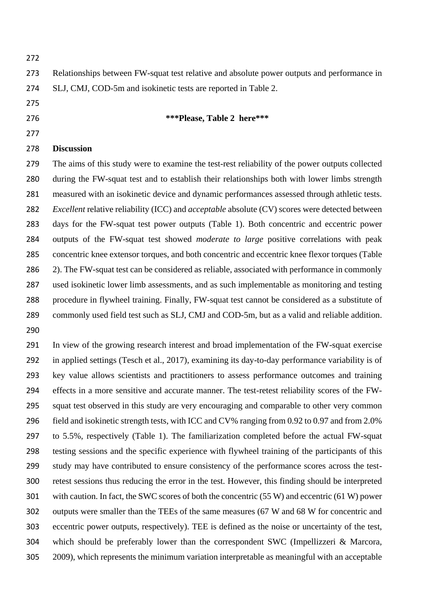| 272 |                                                                                                              |
|-----|--------------------------------------------------------------------------------------------------------------|
| 273 | Relationships between FW-squat test relative and absolute power outputs and performance in                   |
| 274 | SLJ, CMJ, COD-5m and isokinetic tests are reported in Table 2.                                               |
| 275 |                                                                                                              |
| 276 | ***Please, Table 2 here***                                                                                   |
| 277 |                                                                                                              |
| 278 | <b>Discussion</b>                                                                                            |
| 279 | The aims of this study were to examine the test-rest reliability of the power outputs collected              |
| 280 | during the FW-squat test and to establish their relationships both with lower limbs strength                 |
| 281 | measured with an isokinetic device and dynamic performances assessed through athletic tests.                 |
| 282 | <i>Excellent</i> relative reliability (ICC) and <i>acceptable</i> absolute (CV) scores were detected between |
| 283 | days for the FW-squat test power outputs (Table 1). Both concentric and eccentric power                      |
| 284 | outputs of the FW-squat test showed <i>moderate to large</i> positive correlations with peak                 |
| 285 | concentric knee extensor torques, and both concentric and eccentric knee flexor torques (Table               |
| 286 | 2). The FW-squat test can be considered as reliable, associated with performance in commonly                 |
| 287 | used isokinetic lower limb assessments, and as such implementable as monitoring and testing                  |

 procedure in flywheel training. Finally, FW-squat test cannot be considered as a substitute of commonly used field test such as SLJ, CMJ and COD-5m, but as a valid and reliable addition. 

 In view of the growing research interest and broad implementation of the FW-squat exercise in applied settings (Tesch et al., 2017), examining its day-to-day performance variability is of key value allows scientists and practitioners to assess performance outcomes and training effects in a more sensitive and accurate manner. The test-retest reliability scores of the FW- squat test observed in this study are very encouraging and comparable to other very common field and isokinetic strength tests, with ICC and CV% ranging from 0.92 to 0.97 and from 2.0% to 5.5%, respectively (Table 1). The familiarization completed before the actual FW-squat testing sessions and the specific experience with flywheel training of the participants of this study may have contributed to ensure consistency of the performance scores across the test- retest sessions thus reducing the error in the test. However, this finding should be interpreted with caution. In fact, the SWC scores of both the concentric (55 W) and eccentric (61 W) power outputs were smaller than the TEEs of the same measures (67 W and 68 W for concentric and eccentric power outputs, respectively). TEE is defined as the noise or uncertainty of the test, which should be preferably lower than the correspondent SWC (Impellizzeri & Marcora, 2009), which represents the minimum variation interpretable as meaningful with an acceptable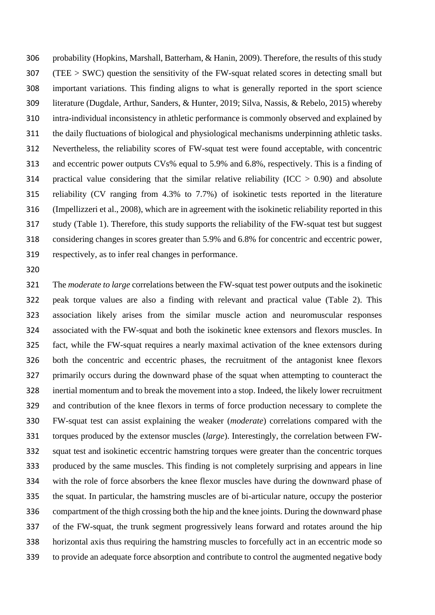probability (Hopkins, Marshall, Batterham, & Hanin, 2009). Therefore, the results of this study (TEE > SWC) question the sensitivity of the FW-squat related scores in detecting small but important variations. This finding aligns to what is generally reported in the sport science literature (Dugdale, Arthur, Sanders, & Hunter, 2019; Silva, Nassis, & Rebelo, 2015) whereby intra-individual inconsistency in athletic performance is commonly observed and explained by the daily fluctuations of biological and physiological mechanisms underpinning athletic tasks. Nevertheless, the reliability scores of FW-squat test were found acceptable, with concentric and eccentric power outputs CVs% equal to 5.9% and 6.8%, respectively. This is a finding of practical value considering that the similar relative reliability (ICC > 0.90) and absolute reliability (CV ranging from 4.3% to 7.7%) of isokinetic tests reported in the literature (Impellizzeri et al., 2008), which are in agreement with the isokinetic reliability reported in this study (Table 1). Therefore, this study supports the reliability of the FW-squat test but suggest considering changes in scores greater than 5.9% and 6.8% for concentric and eccentric power, respectively, as to infer real changes in performance.

 The *moderate to large* correlations between the FW-squat test power outputs and the isokinetic peak torque values are also a finding with relevant and practical value (Table 2). This association likely arises from the similar muscle action and neuromuscular responses associated with the FW-squat and both the isokinetic knee extensors and flexors muscles. In fact, while the FW-squat requires a nearly maximal activation of the knee extensors during both the concentric and eccentric phases, the recruitment of the antagonist knee flexors primarily occurs during the downward phase of the squat when attempting to counteract the inertial momentum and to break the movement into a stop. Indeed, the likely lower recruitment and contribution of the knee flexors in terms of force production necessary to complete the FW-squat test can assist explaining the weaker (*moderate*) correlations compared with the torques produced by the extensor muscles (*large*). Interestingly, the correlation between FW- squat test and isokinetic eccentric hamstring torques were greater than the concentric torques produced by the same muscles. This finding is not completely surprising and appears in line with the role of force absorbers the knee flexor muscles have during the downward phase of the squat. In particular, the hamstring muscles are of bi-articular nature, occupy the posterior compartment of the thigh crossing both the hip and the knee joints. During the downward phase of the FW-squat, the trunk segment progressively leans forward and rotates around the hip horizontal axis thus requiring the hamstring muscles to forcefully act in an eccentric mode so to provide an adequate force absorption and contribute to control the augmented negative body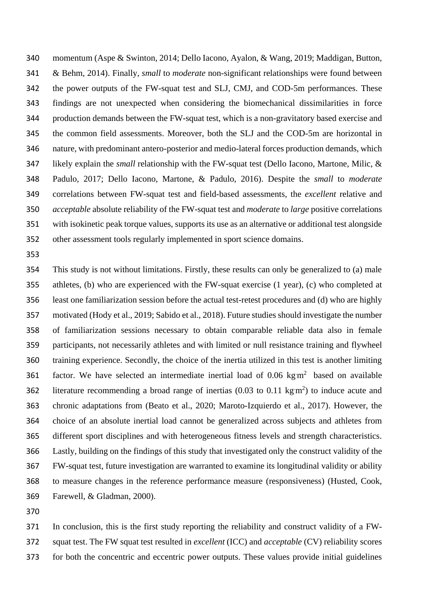momentum (Aspe & Swinton, 2014; Dello Iacono, Ayalon, & Wang, 2019; Maddigan, Button, & Behm, 2014). Finally, *small* to *moderate* non-significant relationships were found between the power outputs of the FW-squat test and SLJ, CMJ, and COD-5m performances. These findings are not unexpected when considering the biomechanical dissimilarities in force production demands between the FW-squat test, which is a non-gravitatory based exercise and the common field assessments. Moreover, both the SLJ and the COD-5m are horizontal in nature, with predominant antero-posterior and medio-lateral forces production demands, which likely explain the *small* relationship with the FW-squat test (Dello Iacono, Martone, Milic, & Padulo, 2017; Dello Iacono, Martone, & Padulo, 2016). Despite the *small* to *moderate* correlations between FW-squat test and field-based assessments, the *excellent* relative and *acceptable* absolute reliability of the FW-squat test and *moderate* to *large* positive correlations with isokinetic peak torque values, supports its use as an alternative or additional test alongside other assessment tools regularly implemented in sport science domains.

 This study is not without limitations. Firstly, these results can only be generalized to (a) male athletes, (b) who are experienced with the FW-squat exercise (1 year), (c) who completed at least one familiarization session before the actual test-retest procedures and (d) who are highly motivated (Hody et al., 2019; Sabido et al., 2018). Future studies should investigate the number of familiarization sessions necessary to obtain comparable reliable data also in female participants, not necessarily athletes and with limited or null resistance training and flywheel training experience. Secondly, the choice of the inertia utilized in this test is another limiting  $f$  factor. We have selected an intermediate inertial load of 0.06 kg $m<sup>2</sup>$  based on available 362 literature recommending a broad range of inertias  $(0.03 \text{ to } 0.11 \text{ kg m}^2)$  to induce acute and chronic adaptations from (Beato et al., 2020; Maroto-Izquierdo et al., 2017). However, the choice of an absolute inertial load cannot be generalized across subjects and athletes from different sport disciplines and with heterogeneous fitness levels and strength characteristics. Lastly, building on the findings of this study that investigated only the construct validity of the FW-squat test, future investigation are warranted to examine its longitudinal validity or ability to measure changes in the reference performance measure (responsiveness) (Husted, Cook, Farewell, & Gladman, 2000).

 In conclusion, this is the first study reporting the reliability and construct validity of a FW- squat test. The FW squat test resulted in *excellent* (ICC) and *acceptable* (CV) reliability scores for both the concentric and eccentric power outputs. These values provide initial guidelines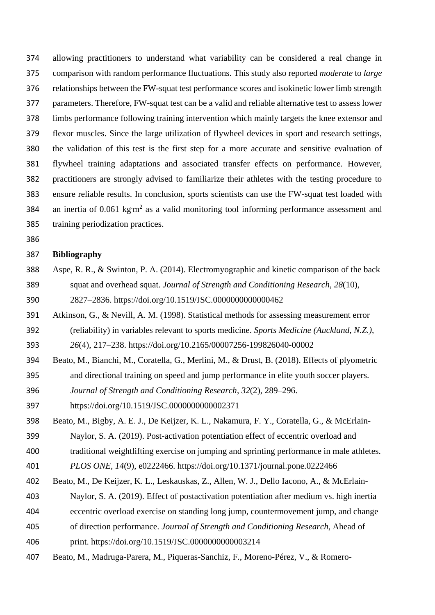allowing practitioners to understand what variability can be considered a real change in comparison with random performance fluctuations. This study also reported *moderate* to *large* relationships between the FW-squat test performance scores and isokinetic lower limb strength parameters. Therefore, FW-squat test can be a valid and reliable alternative test to assess lower limbs performance following training intervention which mainly targets the knee extensor and flexor muscles. Since the large utilization of flywheel devices in sport and research settings, the validation of this test is the first step for a more accurate and sensitive evaluation of flywheel training adaptations and associated transfer effects on performance. However, practitioners are strongly advised to familiarize their athletes with the testing procedure to ensure reliable results. In conclusion, sports scientists can use the FW-squat test loaded with 384 an inertia of 0.061 kg $m<sup>2</sup>$  as a valid monitoring tool informing performance assessment and training periodization practices.

# **Bibliography**

- Aspe, R. R., & Swinton, P. A. (2014). Electromyographic and kinetic comparison of the back squat and overhead squat. *Journal of Strength and Conditioning Research*, *28*(10), 2827–2836. https://doi.org/10.1519/JSC.0000000000000462
- Atkinson, G., & Nevill, A. M. (1998). Statistical methods for assessing measurement error
- (reliability) in variables relevant to sports medicine. *Sports Medicine (Auckland, N.Z.)*,

*26*(4), 217–238. https://doi.org/10.2165/00007256-199826040-00002

- Beato, M., Bianchi, M., Coratella, G., Merlini, M., & Drust, B. (2018). Effects of plyometric and directional training on speed and jump performance in elite youth soccer players.
- *Journal of Strength and Conditioning Research*, *32*(2), 289–296.
- https://doi.org/10.1519/JSC.0000000000002371
- Beato, M., Bigby, A. E. J., De Keijzer, K. L., Nakamura, F. Y., Coratella, G., & McErlain-
- Naylor, S. A. (2019). Post-activation potentiation effect of eccentric overload and
- traditional weightlifting exercise on jumping and sprinting performance in male athletes. *PLOS ONE*, *14*(9), e0222466. https://doi.org/10.1371/journal.pone.0222466
- Beato, M., De Keijzer, K. L., Leskauskas, Z., Allen, W. J., Dello Iacono, A., & McErlain-
- Naylor, S. A. (2019). Effect of postactivation potentiation after medium vs. high inertia
- eccentric overload exercise on standing long jump, countermovement jump, and change
- of direction performance. *Journal of Strength and Conditioning Research*, Ahead of
- print. https://doi.org/10.1519/JSC.0000000000003214
- Beato, M., Madruga-Parera, M., Piqueras-Sanchiz, F., Moreno-Pérez, V., & Romero-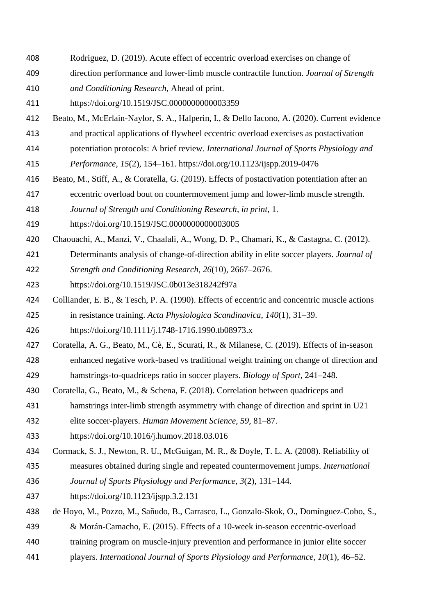- Rodriguez, D. (2019). Acute effect of eccentric overload exercises on change of
- direction performance and lower-limb muscle contractile function. *Journal of Strength*
- *and Conditioning Research*, Ahead of print.
- https://doi.org/10.1519/JSC.0000000000003359
- Beato, M., McErlain-Naylor, S. A., Halperin, I., & Dello Iacono, A. (2020). Current evidence
- and practical applications of flywheel eccentric overload exercises as postactivation
- potentiation protocols: A brief review. *International Journal of Sports Physiology and*

*Performance*, *15*(2), 154–161. https://doi.org/10.1123/ijspp.2019-0476

- Beato, M., Stiff, A., & Coratella, G. (2019). Effects of postactivation potentiation after an
- eccentric overload bout on countermovement jump and lower-limb muscle strength.
- *Journal of Strength and Conditioning Research*, *in print*, 1.
- https://doi.org/10.1519/JSC.0000000000003005
- Chaouachi, A., Manzi, V., Chaalali, A., Wong, D. P., Chamari, K., & Castagna, C. (2012).
- Determinants analysis of change-of-direction ability in elite soccer players. *Journal of*
- *Strength and Conditioning Research*, *26*(10), 2667–2676.
- https://doi.org/10.1519/JSC.0b013e318242f97a
- Colliander, E. B., & Tesch, P. A. (1990). Effects of eccentric and concentric muscle actions in resistance training. *Acta Physiologica Scandinavica*, *140*(1), 31–39.
- https://doi.org/10.1111/j.1748-1716.1990.tb08973.x
- Coratella, A. G., Beato, M., Cè, E., Scurati, R., & Milanese, C. (2019). Effects of in-season
- enhanced negative work-based vs traditional weight training on change of direction and hamstrings-to-quadriceps ratio in soccer players. *Biology of Sport*, 241–248.
- Coratella, G., Beato, M., & Schena, F. (2018). Correlation between quadriceps and
- hamstrings inter-limb strength asymmetry with change of direction and sprint in U21
- elite soccer-players. *Human Movement Science*, *59*, 81–87.
- https://doi.org/10.1016/j.humov.2018.03.016
- Cormack, S. J., Newton, R. U., McGuigan, M. R., & Doyle, T. L. A. (2008). Reliability of
- measures obtained during single and repeated countermovement jumps. *International*
- *Journal of Sports Physiology and Performance*, *3*(2), 131–144.
- https://doi.org/10.1123/ijspp.3.2.131
- de Hoyo, M., Pozzo, M., Sañudo, B., Carrasco, L., Gonzalo-Skok, O., Domínguez-Cobo, S.,
- & Morán-Camacho, E. (2015). Effects of a 10-week in-season eccentric-overload
- training program on muscle-injury prevention and performance in junior elite soccer
- players. *International Journal of Sports Physiology and Performance*, *10*(1), 46–52.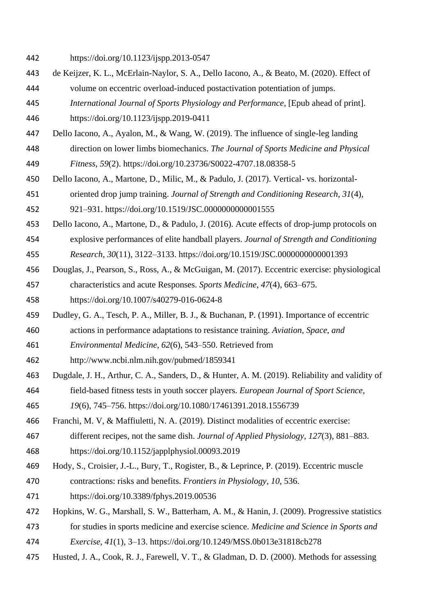- https://doi.org/10.1123/ijspp.2013-0547
- de Keijzer, K. L., McErlain-Naylor, S. A., Dello Iacono, A., & Beato, M. (2020). Effect of
- volume on eccentric overload-induced postactivation potentiation of jumps.
- *International Journal of Sports Physiology and Performance*, [Epub ahead of print].

https://doi.org/10.1123/ijspp.2019-0411

- Dello Iacono, A., Ayalon, M., & Wang, W. (2019). The influence of single-leg landing direction on lower limbs biomechanics. *The Journal of Sports Medicine and Physical Fitness*, *59*(2). https://doi.org/10.23736/S0022-4707.18.08358-5
- Dello Iacono, A., Martone, D., Milic, M., & Padulo, J. (2017). Vertical- vs. horizontal-
- oriented drop jump training. *Journal of Strength and Conditioning Research*, *31*(4),

921–931. https://doi.org/10.1519/JSC.0000000000001555

- Dello Iacono, A., Martone, D., & Padulo, J. (2016). Acute effects of drop-jump protocols on explosive performances of elite handball players. *Journal of Strength and Conditioning*
- *Research*, *30*(11), 3122–3133. https://doi.org/10.1519/JSC.0000000000001393
- Douglas, J., Pearson, S., Ross, A., & McGuigan, M. (2017). Eccentric exercise: physiological characteristics and acute Responses. *Sports Medicine*, *47*(4), 663–675.
- https://doi.org/10.1007/s40279-016-0624-8
- Dudley, G. A., Tesch, P. A., Miller, B. J., & Buchanan, P. (1991). Importance of eccentric
- actions in performance adaptations to resistance training. *Aviation, Space, and*
- *Environmental Medicine*, *62*(6), 543–550. Retrieved from
- http://www.ncbi.nlm.nih.gov/pubmed/1859341
- Dugdale, J. H., Arthur, C. A., Sanders, D., & Hunter, A. M. (2019). Reliability and validity of field-based fitness tests in youth soccer players. *European Journal of Sport Science*,

*19*(6), 745–756. https://doi.org/10.1080/17461391.2018.1556739

- Franchi, M. V, & Maffiuletti, N. A. (2019). Distinct modalities of eccentric exercise:
- different recipes, not the same dish. *Journal of Applied Physiology*, *127*(3), 881–883. https://doi.org/10.1152/japplphysiol.00093.2019
- Hody, S., Croisier, J.-L., Bury, T., Rogister, B., & Leprince, P. (2019). Eccentric muscle
- contractions: risks and benefits. *Frontiers in Physiology*, *10*, 536.
- https://doi.org/10.3389/fphys.2019.00536
- Hopkins, W. G., Marshall, S. W., Batterham, A. M., & Hanin, J. (2009). Progressive statistics
- for studies in sports medicine and exercise science. *Medicine and Science in Sports and*
- *Exercise*, *41*(1), 3–13. https://doi.org/10.1249/MSS.0b013e31818cb278
- Husted, J. A., Cook, R. J., Farewell, V. T., & Gladman, D. D. (2000). Methods for assessing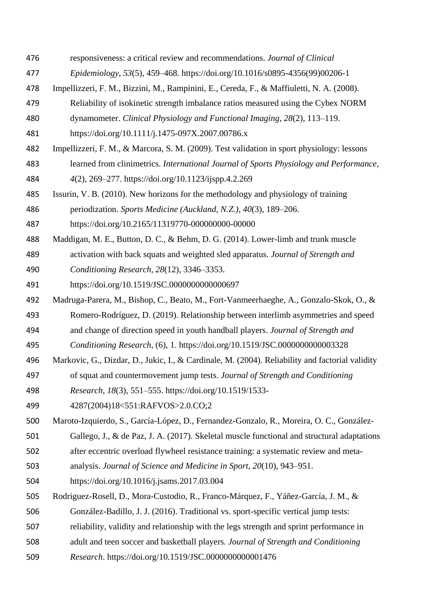- responsiveness: a critical review and recommendations. *Journal of Clinical*
- *Epidemiology*, *53*(5), 459–468. https://doi.org/10.1016/s0895-4356(99)00206-1
- Impellizzeri, F. M., Bizzini, M., Rampinini, E., Cereda, F., & Maffiuletti, N. A. (2008).
- Reliability of isokinetic strength imbalance ratios measured using the Cybex NORM
- dynamometer. *Clinical Physiology and Functional Imaging*, *28*(2), 113–119.
- https://doi.org/10.1111/j.1475-097X.2007.00786.x
- Impellizzeri, F. M., & Marcora, S. M. (2009). Test validation in sport physiology: lessons
- learned from clinimetrics. *International Journal of Sports Physiology and Performance*, *4*(2), 269–277. https://doi.org/10.1123/ijspp.4.2.269
- Issurin, V. B. (2010). New horizons for the methodology and physiology of training
- periodization. *Sports Medicine (Auckland, N.Z.)*, *40*(3), 189–206.
- https://doi.org/10.2165/11319770-000000000-00000
- Maddigan, M. E., Button, D. C., & Behm, D. G. (2014). Lower-limb and trunk muscle
- activation with back squats and weighted sled apparatus. *Journal of Strength and*
- *Conditioning Research*, *28*(12), 3346–3353.
- https://doi.org/10.1519/JSC.0000000000000697
- Madruga-Parera, M., Bishop, C., Beato, M., Fort-Vanmeerhaeghe, A., Gonzalo-Skok, O., &
- Romero-Rodríguez, D. (2019). Relationship between interlimb asymmetries and speed
- and change of direction speed in youth handball players. *Journal of Strength and*
- *Conditioning Research*, (6), 1. https://doi.org/10.1519/JSC.0000000000003328
- Markovic, G., Dizdar, D., Jukic, I., & Cardinale, M. (2004). Reliability and factorial validity
- of squat and countermovement jump tests. *Journal of Strength and Conditioning*
- *Research*, *18*(3), 551–555. https://doi.org/10.1519/1533-
- 4287(2004)18<551:RAFVOS>2.0.CO;2
- Maroto-Izquierdo, S., García-López, D., Fernandez-Gonzalo, R., Moreira, O. C., González-
- Gallego, J., & de Paz, J. A. (2017). Skeletal muscle functional and structural adaptations
- after eccentric overload flywheel resistance training: a systematic review and meta-
- analysis. *Journal of Science and Medicine in Sport*, *20*(10), 943–951.
- https://doi.org/10.1016/j.jsams.2017.03.004
- Rodriguez-Rosell, D., Mora-Custodio, R., Franco-Márquez, F., Yáñez-García, J. M., &
- González-Badillo, J. J. (2016). Traditional vs. sport-specific vertical jump tests:
- reliability, validity and relationship with the legs strength and sprint performance in
- adult and teen soccer and basketball players. *Journal of Strength and Conditioning*
- *Research*. https://doi.org/10.1519/JSC.0000000000001476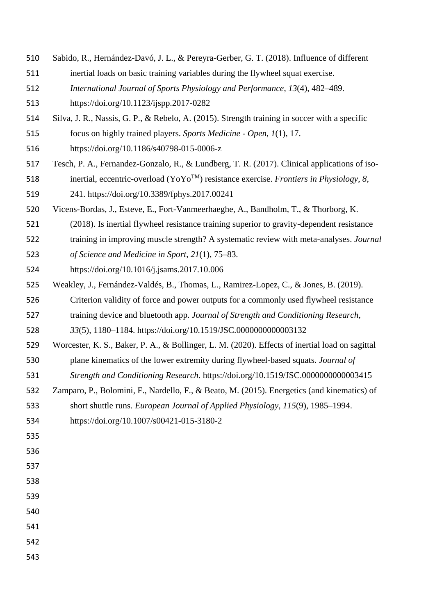- Sabido, R., Hernández-Davó, J. L., & Pereyra-Gerber, G. T. (2018). Influence of different
- inertial loads on basic training variables during the flywheel squat exercise.
- *International Journal of Sports Physiology and Performance*, *13*(4), 482–489.
- https://doi.org/10.1123/ijspp.2017-0282
- Silva, J. R., Nassis, G. P., & Rebelo, A. (2015). Strength training in soccer with a specific
- focus on highly trained players. *Sports Medicine - Open*, *1*(1), 17.
- https://doi.org/10.1186/s40798-015-0006-z
- Tesch, P. A., Fernandez-Gonzalo, R., & Lundberg, T. R. (2017). Clinical applications of iso-
- 518 inertial, eccentric-overload  $(YoYo<sup>TM</sup>)$  resistance exercise. *Frontiers in Physiology*, *8*, 241. https://doi.org/10.3389/fphys.2017.00241
- Vicens-Bordas, J., Esteve, E., Fort-Vanmeerhaeghe, A., Bandholm, T., & Thorborg, K.
- (2018). Is inertial flywheel resistance training superior to gravity-dependent resistance
- training in improving muscle strength? A systematic review with meta-analyses. *Journal*
- *of Science and Medicine in Sport*, *21*(1), 75–83.
- https://doi.org/10.1016/j.jsams.2017.10.006
- Weakley, J., Fernández-Valdés, B., Thomas, L., Ramirez-Lopez, C., & Jones, B. (2019).
- Criterion validity of force and power outputs for a commonly used flywheel resistance
- training device and bluetooth app. *Journal of Strength and Conditioning Research*,
- *33*(5), 1180–1184. https://doi.org/10.1519/JSC.0000000000003132
- Worcester, K. S., Baker, P. A., & Bollinger, L. M. (2020). Effects of inertial load on sagittal plane kinematics of the lower extremity during flywheel-based squats. *Journal of*
- *Strength and Conditioning Research*. https://doi.org/10.1519/JSC.0000000000003415
- Zamparo, P., Bolomini, F., Nardello, F., & Beato, M. (2015). Energetics (and kinematics) of short shuttle runs. *European Journal of Applied Physiology*, *115*(9), 1985–1994.
- https://doi.org/10.1007/s00421-015-3180-2
- 
- 
- 
- 
-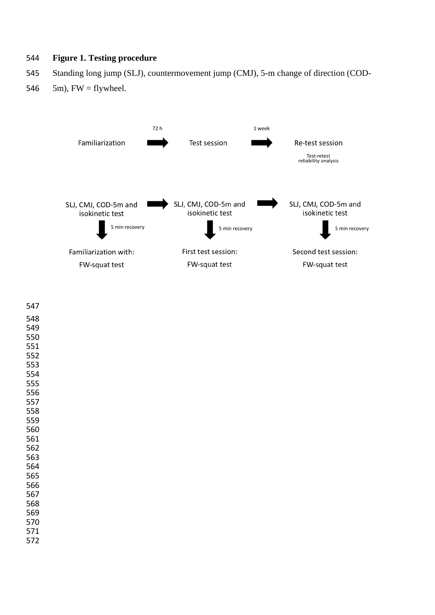# **Figure 1. Testing procedure**

- Standing long jump (SLJ), countermovement jump (CMJ), 5-m change of direction (COD-
- 546  $5m$ , FW = flywheel.



| 547        |  |  |  |
|------------|--|--|--|
| 548        |  |  |  |
| 549        |  |  |  |
| 550        |  |  |  |
| 551        |  |  |  |
| 552        |  |  |  |
| 553        |  |  |  |
| 554        |  |  |  |
| 555        |  |  |  |
| 556        |  |  |  |
| 557        |  |  |  |
| 558<br>559 |  |  |  |
| 560        |  |  |  |
| 561        |  |  |  |
| 562        |  |  |  |
| 563        |  |  |  |
| 564        |  |  |  |
| 565        |  |  |  |
| 566        |  |  |  |
| 567        |  |  |  |
| 568        |  |  |  |
| 569        |  |  |  |
| 570        |  |  |  |
| 571        |  |  |  |
| 572        |  |  |  |
|            |  |  |  |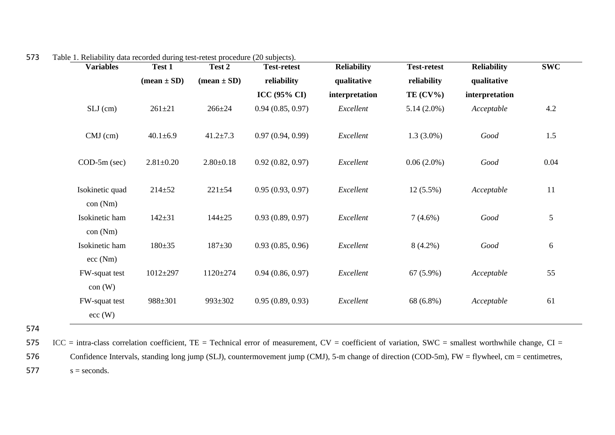| <b>Variables</b>           | Test 1                        | Test 2                        | <b>Test-retest</b>      | <b>Reliability</b> | <b>Test-retest</b> | <b>Reliability</b> | <b>SWC</b> |
|----------------------------|-------------------------------|-------------------------------|-------------------------|--------------------|--------------------|--------------------|------------|
|                            | $(\text{mean} \pm \text{SD})$ | $(\text{mean} \pm \text{SD})$ | reliability             | qualitative        | reliability        | qualitative        |            |
|                            |                               |                               | ICC $(95\% \text{ CI})$ | interpretation     | TE $(CV\%)$        | interpretation     |            |
| $SLJ$ (cm)                 | $261 \pm 21$                  | $266 \pm 24$                  | 0.94(0.85, 0.97)        | Excellent          | $5.14(2.0\%)$      | Acceptable         | 4.2        |
| $CMJ$ (cm)                 | $40.1 \pm 6.9$                | $41.2 \pm 7.3$                | 0.97(0.94, 0.99)        | Excellent          | $1.3(3.0\%)$       | Good               | 1.5        |
| $COD-5m$ (sec)             | $2.81 \pm 0.20$               | $2.80 \pm 0.18$               | 0.92(0.82, 0.97)        | Excellent          | $0.06(2.0\%)$      | Good               | 0.04       |
| Isokinetic quad<br>con(Nm) | $214 \pm 52$                  | $221 \pm 54$                  | 0.95(0.93, 0.97)        | Excellent          | $12(5.5\%)$        | Acceptable         | 11         |
| Isokinetic ham<br>con(Nm)  | $142 + 31$                    | $144 + 25$                    | 0.93(0.89, 0.97)        | Excellent          | $7(4.6\%)$         | Good               | 5          |
| Isokinetic ham<br>ecc(Nm)  | $180 + 35$                    | $187 + 30$                    | 0.93(0.85, 0.96)        | Excellent          | $8(4.2\%)$         | Good               | 6          |
| FW-squat test<br>con (W)   | $1012 + 297$                  | $1120 \pm 274$                | 0.94(0.86, 0.97)        | Excellent          | $67(5.9\%)$        | Acceptable         | 55         |
| FW-squat test<br>ecc(W)    | 988±301                       | 993±302                       | 0.95(0.89, 0.93)        | Excellent          | 68 (6.8%)          | Acceptable         | 61         |

573 Table 1. Reliability data recorded during test-retest procedure (20 subjects).

574

575 ICC = intra-class correlation coefficient,  $TE = Technical$  error of measurement,  $CV = coefficient$  of variation,  $SWC = smallest$  worthwhile change,  $CI =$ 576 Confidence Intervals, standing long jump (SLJ), countermovement jump (CMJ), 5-m change of direction (COD-5m), FW = flywheel, cm = centimetres,

 $577$  s = seconds.